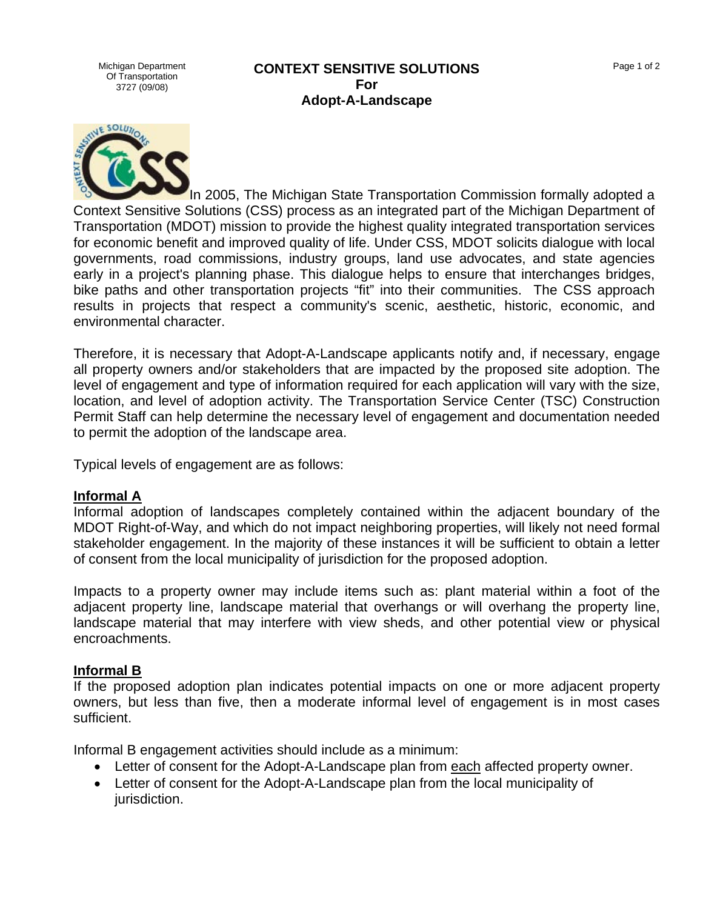Michigan Department Of Transportation 3727 (09/08)

#### **CONTEXT SENSITIVE SOLUTIONS For Adopt-A-Landscape**



In 2005, The Michigan State Transportation Commission formally adopted a Context Sensitive Solutions (CSS) process as an integrated part of the Michigan Department of Transportation (MDOT) mission to provide the highest quality integrated transportation services for economic benefit and improved quality of life. Under CSS, MDOT solicits dialogue with local governments, road commissions, industry groups, land use advocates, and state agencies early in a project's planning phase. This dialogue helps to ensure that interchanges bridges, bike paths and other transportation projects "fit" into their communities. The CSS approach results in projects that respect a community's scenic, aesthetic, historic, economic, and environmental character.

Therefore, it is necessary that Adopt-A-Landscape applicants notify and, if necessary, engage all property owners and/or stakeholders that are impacted by the proposed site adoption. The level of engagement and type of information required for each application will vary with the size, location, and level of adoption activity. The Transportation Service Center (TSC) Construction Permit Staff can help determine the necessary level of engagement and documentation needed to permit the adoption of the landscape area.

Typical levels of engagement are as follows:

### **Informal A**

Informal adoption of landscapes completely contained within the adjacent boundary of the MDOT Right-of-Way, and which do not impact neighboring properties, will likely not need formal stakeholder engagement. In the majority of these instances it will be sufficient to obtain a letter of consent from the local municipality of jurisdiction for the proposed adoption.

Impacts to a property owner may include items such as: plant material within a foot of the adjacent property line, landscape material that overhangs or will overhang the property line, landscape material that may interfere with view sheds, and other potential view or physical encroachments.

### **Informal B**

If the proposed adoption plan indicates potential impacts on one or more adjacent property owners, but less than five, then a moderate informal level of engagement is in most cases sufficient.

Informal B engagement activities should include as a minimum:

- Letter of consent for the Adopt-A-Landscape plan from each affected property owner.
- Letter of consent for the Adopt-A-Landscape plan from the local municipality of jurisdiction.